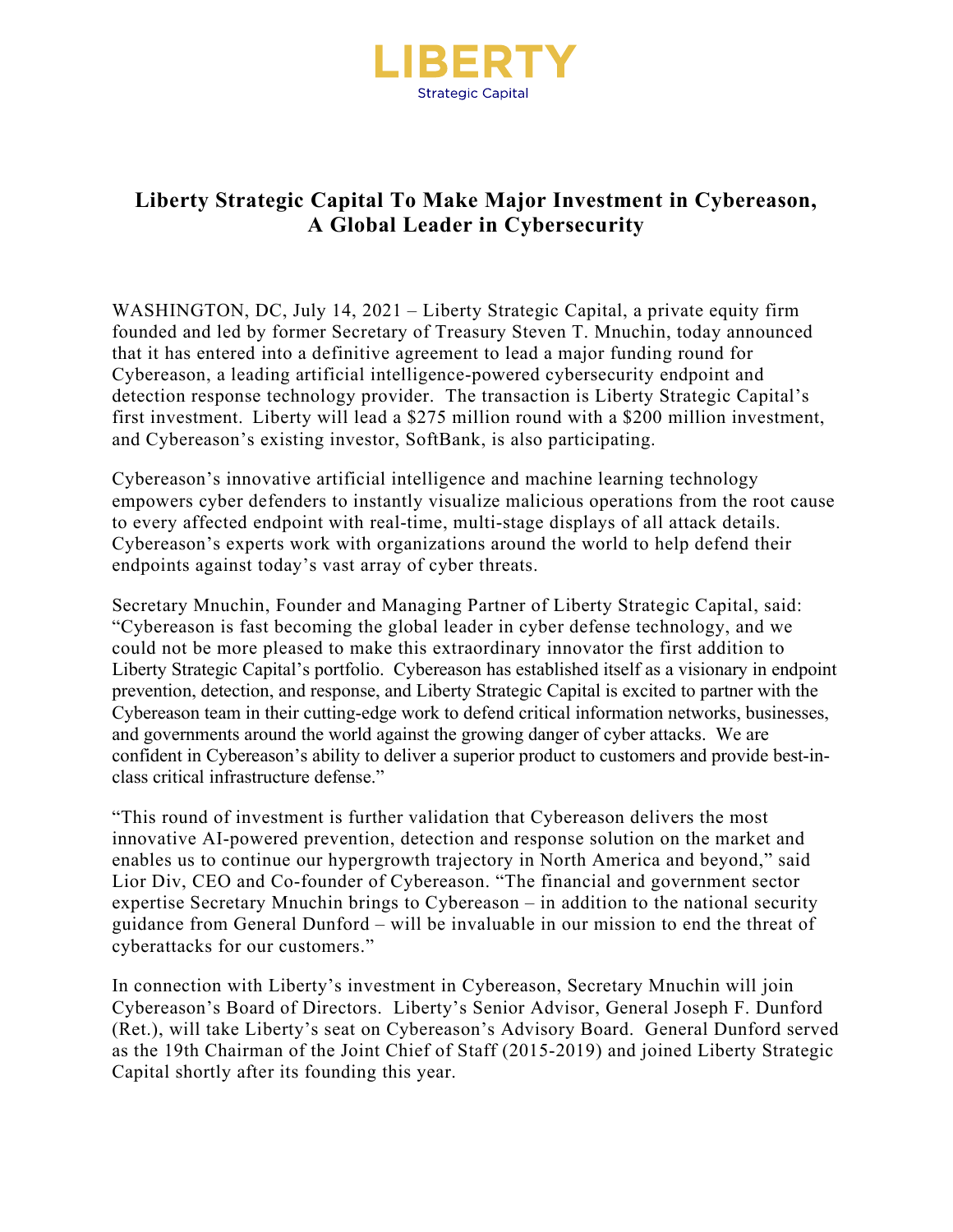

## **Liberty Strategic Capital To Make Major Investment in Cybereason, A Global Leader in Cybersecurity**

WASHINGTON, DC, July 14, 2021 – Liberty Strategic Capital, a private equity firm founded and led by former Secretary of Treasury Steven T. Mnuchin, today announced that it has entered into a definitive agreement to lead a major funding round for Cybereason, a leading artificial intelligence-powered cybersecurity endpoint and detection response technology provider. The transaction is Liberty Strategic Capital's first investment. Liberty will lead a \$275 million round with a \$200 million investment, and Cybereason's existing investor, SoftBank, is also participating.

Cybereason's innovative artificial intelligence and machine learning technology empowers cyber defenders to instantly visualize malicious operations from the root cause to every affected endpoint with real-time, multi-stage displays of all attack details. Cybereason's experts work with organizations around the world to help defend their endpoints against today's vast array of cyber threats.

Secretary Mnuchin, Founder and Managing Partner of Liberty Strategic Capital, said: "Cybereason is fast becoming the global leader in cyber defense technology, and we could not be more pleased to make this extraordinary innovator the first addition to Liberty Strategic Capital's portfolio. Cybereason has established itself as a visionary in endpoint prevention, detection, and response, and Liberty Strategic Capital is excited to partner with the Cybereason team in their cutting-edge work to defend critical information networks, businesses, and governments around the world against the growing danger of cyber attacks. We are confident in Cybereason's ability to deliver a superior product to customers and provide best-inclass critical infrastructure defense."

"This round of investment is further validation that Cybereason delivers the most innovative AI-powered prevention, detection and response solution on the market and enables us to continue our hypergrowth trajectory in North America and beyond," said Lior Div, CEO and Co-founder of Cybereason. "The financial and government sector expertise Secretary Mnuchin brings to Cybereason – in addition to the national security guidance from General Dunford – will be invaluable in our mission to end the threat of cyberattacks for our customers."

In connection with Liberty's investment in Cybereason, Secretary Mnuchin will join Cybereason's Board of Directors. Liberty's Senior Advisor, General Joseph F. Dunford (Ret.), will take Liberty's seat on Cybereason's Advisory Board. General Dunford served as the 19th Chairman of the Joint Chief of Staff (2015-2019) and joined Liberty Strategic Capital shortly after its founding this year.